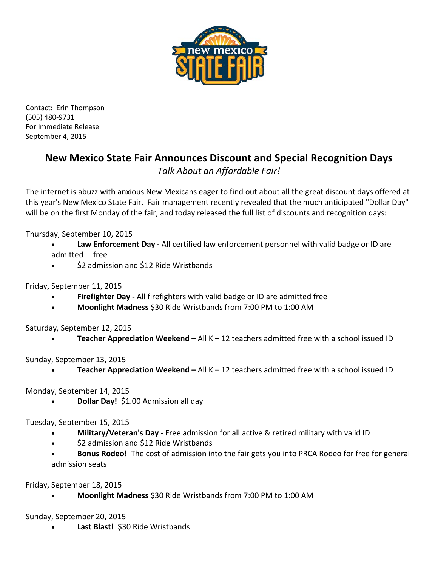

Contact: Erin Thompson (505) 480-9731 For Immediate Release September 4, 2015

## **New Mexico State Fair Announces Discount and Special Recognition Days**

*Talk About an Affordable Fair!*

The internet is abuzz with anxious New Mexicans eager to find out about all the great discount days offered at this year's New Mexico State Fair. Fair management recently revealed that the much anticipated "Dollar Day" will be on the first Monday of the fair, and today released the full list of discounts and recognition days:

Thursday, September 10, 2015

- **Law Enforcement Day -** All certified law enforcement personnel with valid badge or ID are admitted free
- \$2 admission and \$12 Ride Wristbands

Friday, September 11, 2015

- **Firefighter Day -** All firefighters with valid badge or ID are admitted free
- **Moonlight Madness** \$30 Ride Wristbands from 7:00 PM to 1:00 AM

Saturday, September 12, 2015

• **Teacher Appreciation Weekend –** All K – 12 teachers admitted free with a school issued ID

Sunday, September 13, 2015

• **Teacher Appreciation Weekend –** All K – 12 teachers admitted free with a school issued ID

Monday, September 14, 2015

• **Dollar Day!** \$1.00 Admission all day

Tuesday, September 15, 2015

- **Military/Veteran's Day** Free admission for all active & retired military with valid ID
- \$2 admission and \$12 Ride Wristbands
- **Bonus Rodeo!** The cost of admission into the fair gets you into PRCA Rodeo for free for general admission seats

Friday, September 18, 2015

• **Moonlight Madness** \$30 Ride Wristbands from 7:00 PM to 1:00 AM

Sunday, September 20, 2015

• **Last Blast!** \$30 Ride Wristbands